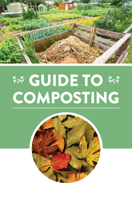

## **┆҂ GUIDE TO キャャ COMPOSTING**